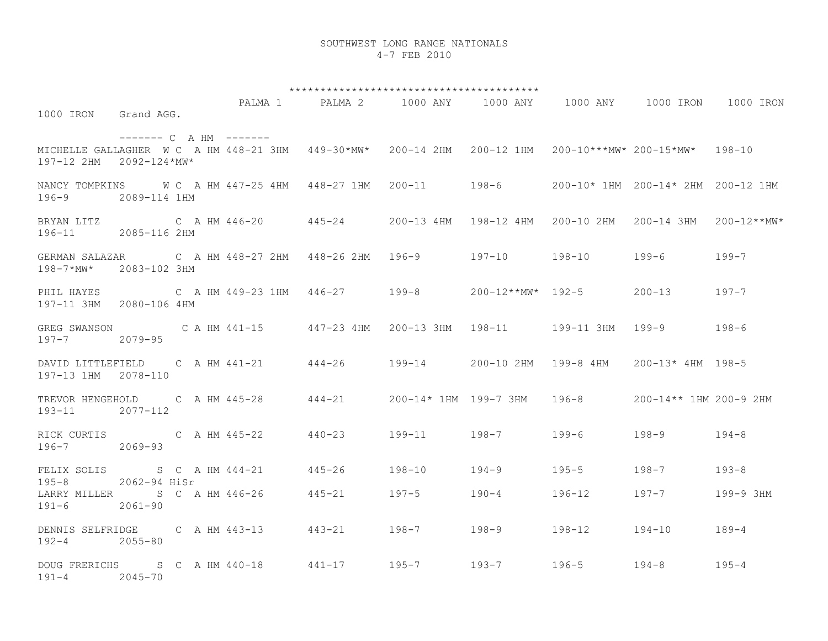## SOUTHWEST LONG RANGE NATIONALS 4-7 FEB 2010

\*\*\*\*\*\*\*\*\*\*\*\*\*\*\*\*\*\*\*\*\*\*\*\*\*\*\*\*\*\*\*\*\*\*\*\*\*\*\*\* PALMA 1 PALMA 2 1000 ANY 1000 ANY 1000 ANY 1000 IRON 1000 IRON 1000 IRON Grand AGG. ------- C A HM ------- MICHELLE GALLAGHER W C A HM 448-21 3HM 449-30\*MW\* 200-14 2HM 200-12 1HM 200-10\*\*\*MW\* 200-15\*MW\* 198-10 197-12 2HM 2092-124\*MW\* NANCY TOMPKINS W C A HM 447-25 4HM 448-27 1HM 200-11 198-6 200-10\* 1HM 200-14\* 2HM 200-12 1HM 196-9 2089-114 1HM BRYAN LITZ C A HM 446-20 445-24 200-13 4HM 198-12 4HM 200-10 2HM 200-14 3HM 200-12\*\*MW\* 196-11 2085-116 2HM GERMAN SALAZAR C A HM 448-27 2HM 448-26 2HM 196-9 197-10 198-10 199-6 199-7 198-7\*MW\* 2083-102 3HM PHIL HAYES C A HM 449-23 1HM 446-27 199-8 200-12\*\*MW\* 192-5 200-13 197-7 197-11 3HM 2080-106 4HM GREG SWANSON C A HM 441-15 447-23 4HM 200-13 3HM 198-11 199-11 3HM 199-9 198-6 197-7 2079-95 DAVID LITTLEFIELD C A HM 441-21 444-26 199-14 200-10 2HM 199-8 4HM 200-13\* 4HM 198-5 197-13 1HM 2078-110 TREVOR HENGEHOLD C A HM 445-28 444-21 200-14\* 1HM 199-7 3HM 196-8 200-14\*\* 1HM 200-9 2HM 193-11 2077-112 RICK CURTIS C A HM 445-22 440-23 199-11 198-7 199-6 198-9 194-8 196-7 2069-93 FELIX SOLIS S C A HM 444-21 445-26 198-10 194-9 195-5 198-7 193-8 195-8 2062-94 HiSr LARRY MILLER S C A HM 446-26 445-21 197-5 190-4 196-12 197-7 199-9 3HM 191-6 2061-90 DENNIS SELFRIDGE C A HM 443-13 443-21 198-7 198-9 198-12 194-10 189-4 192-4 2055-80 DOUG FRERICHS S C A HM 440-18 441-17 195-7 193-7 196-5 194-8 195-4 191-4 2045-70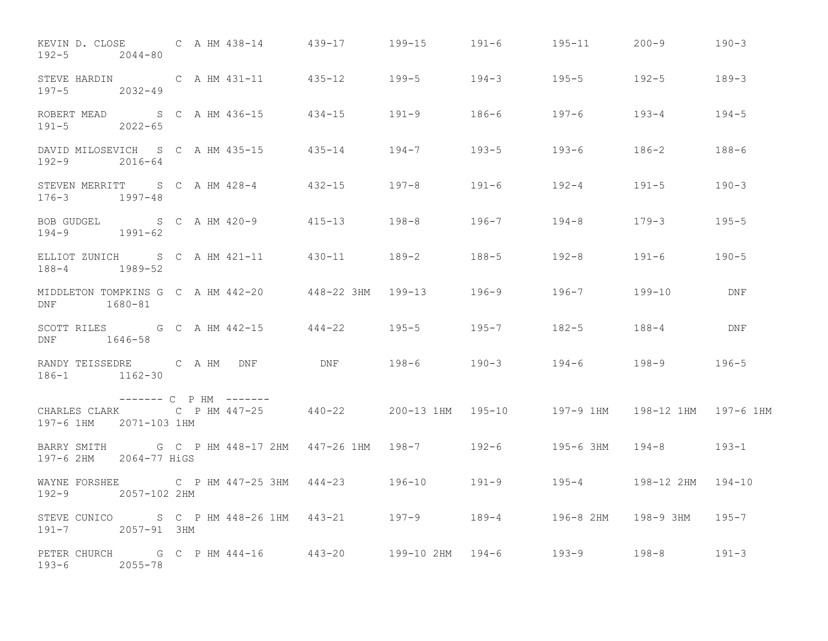| KEVIN D. CLOSE C A HM 438-14 439-17 199-15 191-6 195-11 200-9 190-3<br>$192 - 5$ 2044-80                                                |  |  |  |                   |     |
|-----------------------------------------------------------------------------------------------------------------------------------------|--|--|--|-------------------|-----|
| STEVE HARDIN C A HM 431-11 435-12 199-5 194-3 195-5 192-5 192-5 189-3<br>197-5 2032-49                                                  |  |  |  |                   |     |
| ROBERT MEAD S C A HM 436-15 434-15 191-9 186-6 197-6 193-4 194-5<br>$191 - 5$ 2022-65                                                   |  |  |  |                   |     |
| DAVID MILOSEVICH S C A HM 435-15 435-14 194-7 193-5 193-6 186-2 188-6<br>192-9 2016-64                                                  |  |  |  |                   |     |
| STEVEN MERRITT S C A HM 428-4 432-15 197-8 191-6 192-4 191-5 190-3<br>$176 - 3$ 1997-48                                                 |  |  |  |                   |     |
| BOB GUDGEL S C A HM 420-9 415-13 198-8 196-7 194-8 179-3 195-5<br>$194-9$ $1991-62$                                                     |  |  |  |                   |     |
| ELLIOT ZUNICH S C A HM 421-11 430-11 189-2 188-5 192-8 191-6 190-5<br>188-4 1989-52                                                     |  |  |  |                   |     |
| DNF 1680-81                                                                                                                             |  |  |  |                   |     |
| SCOTT RILES G C A HM 442-15 444-22 195-5 195-7 182-5 188-4<br>DNF 1646-58                                                               |  |  |  |                   | DNF |
| RANDY TEISSEDRE C A HM DNF DNF 198-6 190-3 194-6 198-9 196-5<br>186-1 1162-30                                                           |  |  |  |                   |     |
| ------- C P HM -------<br>CHARLES CLARK C P HM 447-25 440-22 200-13 1HM 195-10 197-9 1HM 198-12 1HM 197-6 1HM<br>197-6 1HM 2071-103 1HM |  |  |  |                   |     |
| BARRY SMITH G C P HM 448-17 2HM 447-26 1HM 198-7 192-6 195-6 3HM 194-8 193-1<br>197-6 2HM 2064-77 HiGS                                  |  |  |  |                   |     |
| WAYNE FORSHEE C P HM 447-25 3HM 444-23 196-10 191-9 195-4<br>192-9 2057-102 2HM                                                         |  |  |  | 198-12 2HM 194-10 |     |
| STEVE CUNICO S C P HM 448-26 1HM 443-21 197-9 189-4 196-8 2HM 198-9 3HM 195-7<br>191-7 2057-91 3HM                                      |  |  |  |                   |     |
| PETER CHURCH G C P HM 444-16 443-20 199-10 2HM 194-6 193-9 198-8 191-3<br>193-6 2055-78                                                 |  |  |  |                   |     |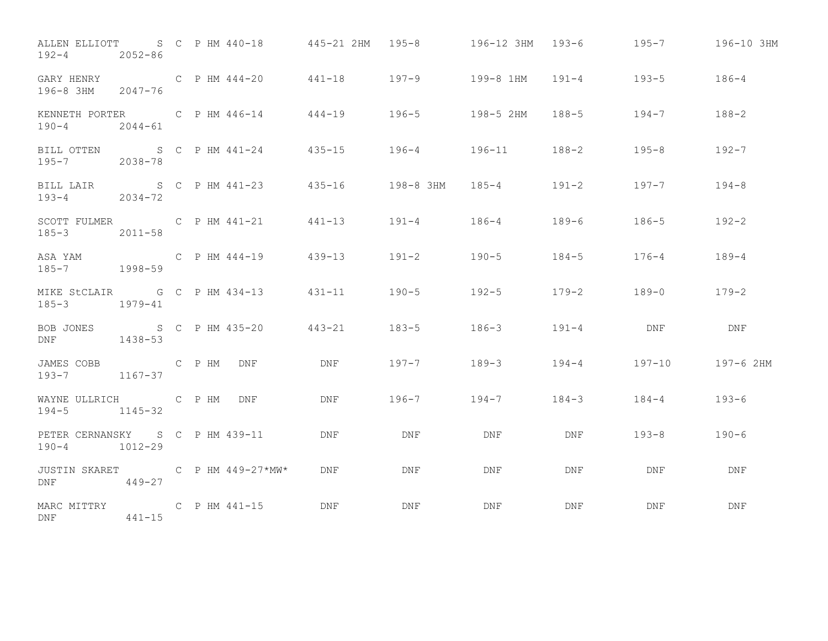| ALLEN ELLIOTT 6 C P HM 440-18 445-21 2HM 195-8 196-12 3HM 193-6 195-7 196-10 3HM<br>$192 - 4$<br>2052-86 |            |  |                 |                                                          |                                   |           |           |                       |            |
|----------------------------------------------------------------------------------------------------------|------------|--|-----------------|----------------------------------------------------------|-----------------------------------|-----------|-----------|-----------------------|------------|
| GARY HENRY<br>196-8 3HM 2047-76                                                                          |            |  |                 | C P HM 444-20 441-18 197-9 199-8 1HM 191-4 193-5 186-4   |                                   |           |           |                       |            |
| KENNETH PORTER C P HM 446-14 444-19 196-5 198-5 2HM 188-5 194-7 188-2<br>$190 - 4$<br>$2044 - 61$        |            |  |                 |                                                          |                                   |           |           |                       |            |
| BILL OTTEN S C P HM 441-24 435-15 196-4 196-11 188-2<br>195-7 2038-78                                    |            |  |                 |                                                          |                                   |           |           | $195 - 8$             | $192 - 7$  |
| BILL LAIR<br>$193 - 4$ 2034-72                                                                           |            |  |                 | S C P HM 441-23 435-16 198-8 3HM 185-4 191-2 197-7 194-8 |                                   |           |           |                       |            |
| SCOTT FULMER C P HM 441-21 441-13 191-4 186-4 189-6 186-5 192-2<br>185-3 2011-58                         |            |  |                 |                                                          |                                   |           |           |                       |            |
|                                                                                                          |            |  |                 |                                                          |                                   |           |           | $176 - 4$             | $189 - 4$  |
| MIKE StCLAIR G C P HM 434-13 431-11 190-5<br>185-3 1979-41                                               |            |  |                 |                                                          |                                   | $192 - 5$ |           | $179 - 2$ 189-0 179-2 |            |
| BOB JONES<br>DNF <sub>2</sub>                                                                            | 1438-53    |  | S C P HM 435-20 | 443-21 183-5 186-3                                       |                                   |           | $191 - 4$ | DNF                   | DNF        |
| JAMES COBB<br>193-7 1167-37                                                                              | C P HM DNF |  |                 | DNF 197-7 189-3 194-4 197-10 197-6 2HM                   |                                   |           |           |                       |            |
| WAYNE ULLRICH C P HM DNF<br>$194-5$ $1145-32$                                                            |            |  |                 |                                                          | DNF 196-7 194-7 184-3 184-4 193-6 |           |           |                       |            |
| PETER CERNANSKY S C P HM 439-11<br>$190 - 4$<br>$1012 - 29$                                              |            |  |                 | DNF                                                      | DNF                               | DNF       | DNF       | $193 - 8$             | $190 - 6$  |
| JUSTIN SKARET C P HM 449-27*MW* DNF<br>$449 - 27$<br>DNF                                                 |            |  |                 |                                                          | DNF                               | DNF       | DNF       | DNF                   | DNF        |
| MARC MITTRY C P HM 441-15 DNF<br>$441 - 15$<br>DNF                                                       |            |  |                 |                                                          | DNF                               | DNF       | DNF       | DNF                   | <b>DNF</b> |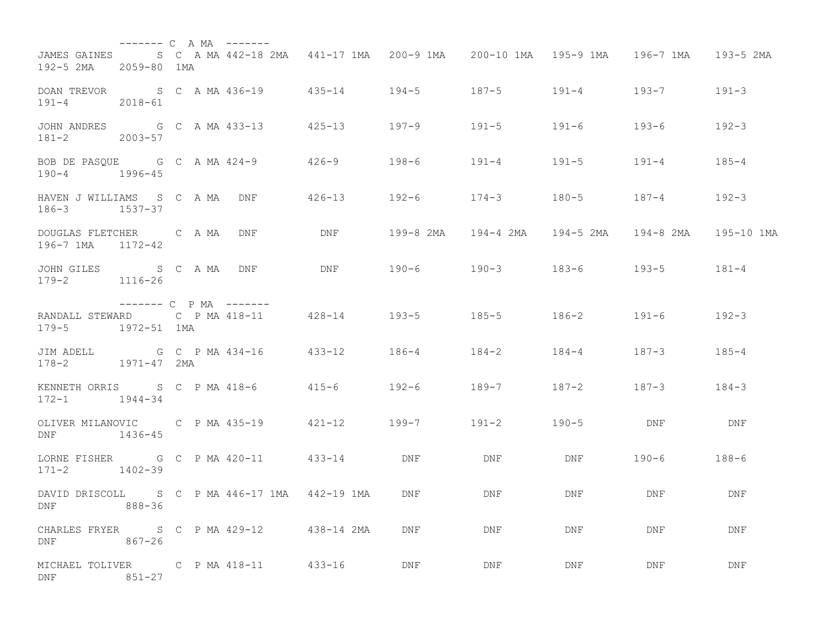|                                                   | $------ C A MA$ -------                |  |                                               |            |                                                                  |           |                                       |                               |              |
|---------------------------------------------------|----------------------------------------|--|-----------------------------------------------|------------|------------------------------------------------------------------|-----------|---------------------------------------|-------------------------------|--------------|
| 192-5 2MA 2059-80 1MA                             |                                        |  |                                               |            | JAMES GAINES S C A MA 442-18 2MA 441-17 1MA 200-9 1MA            |           | 200-10 1MA    195-9 1MA     196-7 1MA |                               | 193-5 2MA    |
| $191 - 4$                                         | 2018-61                                |  |                                               |            | DOAN TREVOR S C A MA 436-19 435-14 194-5 187-5 191-4 193-7 191-3 |           |                                       |                               |              |
| JOHN ANDRES G C A MA 433-13<br>$181 - 2$          | 2003-57                                |  |                                               | $425 - 13$ | $197 - 9$                                                        | 191-5     | 191-6                                 | 193-6                         | $192 - 3$    |
| BOB DE PASOUE G C A MA 424-9<br>$190 - 4$ 1996-45 |                                        |  |                                               |            | 426-9 198-6 191-4                                                |           | $191 - 5$                             | $191 - 4$                     | $185 - 4$    |
| HAVEN J WILLIAMS S C A MA DNF<br>$186 - 3$        | 1537-37                                |  |                                               | 426-13     | $192 - 6$                                                        | $174 - 3$ | $180 - 5$                             | $187 - 4$                     | $192 - 3$    |
| DOUGLAS FLETCHER C A MA<br>196-7 1MA 1172-42      |                                        |  | DNF                                           | DNF        | 199-8 2MA     194-4 2MA    194-5 2MA    194-8 2MA                |           |                                       |                               | 195-10 1MA   |
| JOHN GILES<br>$179 - 2$                           | S C A MA DNF<br>1116-26                |  |                                               | DNF        | 190-6 190-3 183-6 193-5                                          |           |                                       |                               | $181 - 4$    |
|                                                   |                                        |  |                                               |            |                                                                  |           |                                       |                               |              |
| $179 - 5$                                         | $------C$ P MA $------$<br>1972-51 1MA |  |                                               |            |                                                                  |           |                                       |                               |              |
| JIM ADELL<br>$178 - 2$                            | G C P MA 434-16<br>1971-47 2MA         |  |                                               |            | $433 - 12$ 186-4 184-2                                           |           | $184 - 4$                             | $187 - 3$                     | $185 - 4$    |
| $172 - 1$ $1944 - 34$                             |                                        |  |                                               |            |                                                                  |           |                                       | $187 - 2$ $187 - 3$ $184 - 3$ |              |
| OLIVER MILANOVIC C P MA 435-19<br>DNF             | 1436-45                                |  |                                               |            | 421-12 199-7 191-2                                               |           | $190 - 5$                             | DNF                           | $_{\rm DNF}$ |
| $171 - 2$                                         | $1402 - 39$                            |  | LORNE FISHER G C P MA 420-11 433-14           |            | DNF                                                              | DNF       | DNF                                   | $190 - 6$                     | 188-6        |
| DNF                                               | $888 - 36$                             |  | DAVID DRISCOLL S C P MA 446-17 1MA 442-19 1MA |            | DNF                                                              | DNF       | DNF                                   | DNF                           | DNF          |
| DNF                                               | $867 - 26$                             |  | CHARLES FRYER S C P MA 429-12 438-14 2MA      |            | DNF                                                              | DNF       | DNF                                   | DNF                           | DNF          |
| DNF                                               | $851 - 27$                             |  | MICHAEL TOLIVER C P MA 418-11 433-16          |            | DNF                                                              | DNF       | DNF                                   | DNF                           | DNF          |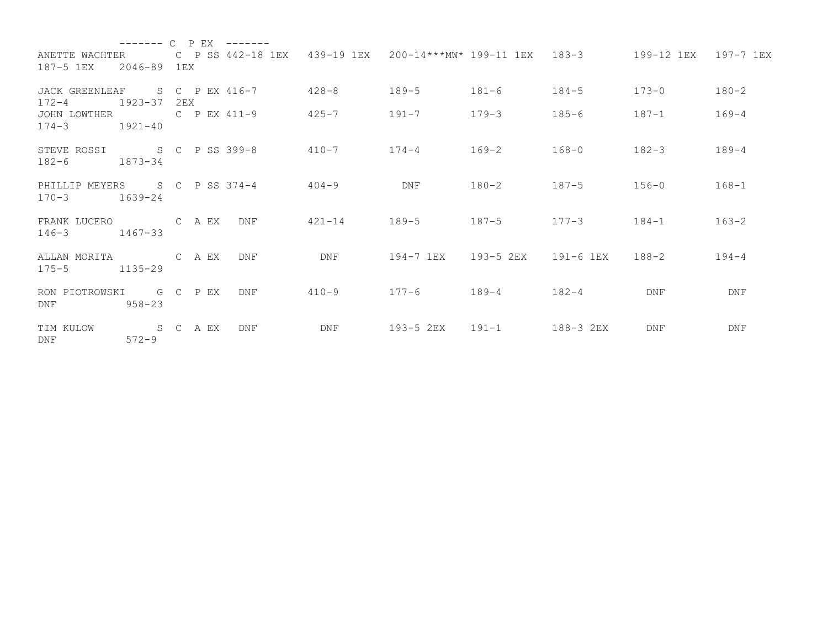|                                                                                                                                           | --------              | $\overline{C}$ | P EX | $- - - - - - -$ |           |                                |                                                            |                 |                      |            |
|-------------------------------------------------------------------------------------------------------------------------------------------|-----------------------|----------------|------|-----------------|-----------|--------------------------------|------------------------------------------------------------|-----------------|----------------------|------------|
| ANETTE WACHTER<br>187-5 1EX 2046-89 1EX                                                                                                   |                       |                |      |                 |           |                                | C P SS 442-18 1EX 439-19 1EX 200-14***MW* 199-11 1EX 183-3 |                 | 199-12 1EX 197-7 1EX |            |
| JACK GREENLEAF S C P EX 416-7<br>$172 - 4$                                                                                                | 1923-37               | 2EX            |      |                 | 428-8     | 189-5                          | $181 - 6$                                                  | $184 - 5$       | $173 - 0$            | $180 - 2$  |
| JOHN LOWTHER C P EX 411-9<br>$174 - 3$                                                                                                    | $1921 - 40$           |                |      |                 | 425-7     | $191 - 7$                      | 179-3                                                      | 185-6           | $187 - 1$            | 169-4      |
| STEVE ROSSI S C P SS 399-8 410-7 174-4 169-2<br>$182 - 6$ 1873-34                                                                         |                       |                |      |                 |           |                                |                                                            | $168 - 0$       | $182 - 3$            | $189 - 4$  |
| PHILLIP MEYERS S C P SS 374-4 404-9<br>$170 - 3$ 1639-24                                                                                  |                       |                |      |                 |           | <b>DNF</b>                     | $180 - 2$                                                  | $187 - 5$       | $156 - 0$            | $168 - 1$  |
| FRANK LUCERO C A EX<br>$146 - 3$                                                                                                          | $1467 - 33$           |                |      | DNF             |           | $421 - 14$ $189 - 5$ $187 - 5$ |                                                            | $177 - 3$ 184-1 |                      | $163 - 2$  |
| ALLAN MORITA CAEX<br>$175 - 5$ 1135-29                                                                                                    |                       |                |      | <b>DNF</b>      | DNF       |                                | 194-7 1EX 193-5 2EX 191-6 1EX 188-2                        |                 |                      | $194 - 4$  |
| RON PIOTROWSKI G C P EX<br>DNF FOR THE STATE OF THE STATE OF THE STATE OF THE STATE OF THE STATE OF THE STATE OF THE STATE OF THE STATE O | 958-23                |                |      | <b>DNF</b>      | $410 - 9$ | $177 - 6$ 189-4                |                                                            | $182 - 4$       | <b>DNF</b>           | <b>DNF</b> |
| TIM KULOW<br>DNF                                                                                                                          | S C A EX<br>$572 - 9$ |                |      | <b>DNF</b>      | DNF       | 193-5 2EX 191-1                |                                                            | 188-3 2EX       | <b>DNF</b>           | <b>DNF</b> |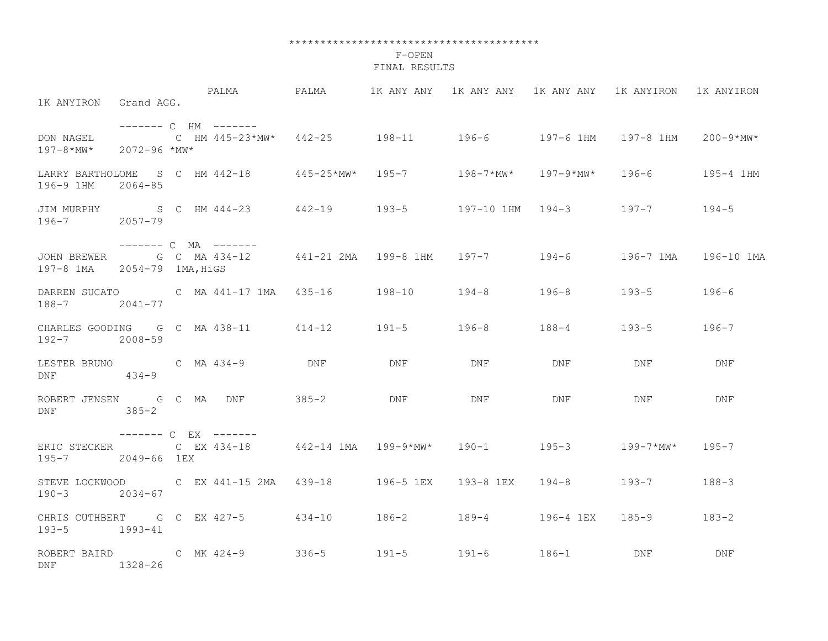## \*\*\*\*\*\*\*\*\*\*\*\*\*\*\*\*\*\*\*\*\*\*\*\*\*\*\*\*\*\*\*\*\*\*\*\*\*\*\*\*

## F-OPEN FINAL RESULTS

| 1K ANYIRON Grand AGG.                             | PALMA                 PALMA              1K ANY ANY    1K ANY ANY    1K ANY 1K ANYIRON     1K ANYIRON |     |     |     |            |                       |
|---------------------------------------------------|-------------------------------------------------------------------------------------------------------|-----|-----|-----|------------|-----------------------|
| $197 - 8 \cdot \text{MW}^*$ 2072-96 $\text{MW}^*$ | ------- C HM -------                                                                                  |     |     |     |            | 200-9*MW*             |
| 196-9 1HM 2064-85                                 | LARRY BARTHOLOME S C HM 442-18 445-25*MW* 195-7 198-7*MW* 197-9*MW* 196-6                             |     |     |     |            | 195-4 1HM             |
| 196-7 2057-79                                     | JIM MURPHY S C HM 444-23 442-19 193-5 197-10 1HM 194-3 197-7 194-5                                    |     |     |     |            |                       |
| 197-8 1MA 2054-79 1MA, HiGS                       | ------- C MA -------<br>JOHN BREWER G C MA 434-12 441-21 2MA 199-8 1HM 197-7 194-6 196-7 1MA          |     |     |     |            | 196-10 1MA            |
| 188-7 2041-77                                     | DARREN SUCATO             C   MA  441-17 1MA    435-16          198-10        194-8          196-8    |     |     |     | $193 - 5$  | 196-6                 |
| 192-7 2008-59                                     | CHARLES GOODING G C MA 438-11 414-12 191-5 196-8 188-4                                                |     |     |     | $193 - 5$  | $196 - 7$             |
| $DNF$ $434-9$                                     | LESTER BRUNO C MA 434-9 DNF                                                                           | DNF | DNF | DNF | <b>DNF</b> | <b>Example 19 DNF</b> |
| DNF 385-2                                         | ROBERT JENSEN G C MA DNF 385-2 DNF                                                                    |     | DNF | DNF | DNF        | DNF                   |
| 195-7 2049-66 1EX                                 | ——————— C EX ——————<br>ERIC STECKER C EX 434-18 442-14 1MA 199-9*MW* 190-1 195-3 199-7*MW* 195-7      |     |     |     |            |                       |
| 190-3 2034-67                                     | STEVE LOCKWOOD  C EX 441-15 2MA  439-18  196-5 1EX  193-8 1EX  194-8  193-7                           |     |     |     |            | $188 - 3$             |
| 193-5 1993-41                                     | CHRIS CUTHBERT G C EX 427-5 434-10 186-2 189-4 196-4 1EX 185-9                                        |     |     |     |            | $183 - 2$             |
| DNF 1328-26                                       |                                                                                                       |     |     |     |            | <b>DNF</b>            |